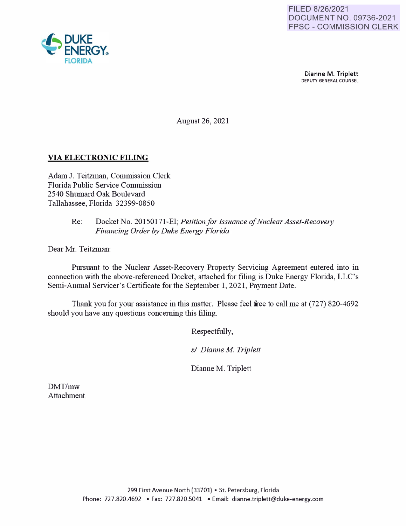

Dianne M. Triplett DEPUTY GENERAL COUNSEL

August 26, 2021

### **VIA ELECTRONIC FILING**

Adam J. Teitzman, Commission Clerk Florida Public Service Commission 2540 Shumard Oak Boulevard Tallahassee, Florida 32399-0850

#### Re: Docket No. 20150171-EI; *Petition for Issuance of Nuclear Asset-Recovery F;nanc;ng Order by Duke Energy Flor;da*

Dear Mr. Teitzman:

Pursuant to the Nuclear Asset-Recovery Property Servicing Agreement entered into in connection with the above-referenced Docket, attached for filing is Duke Energy Florida, LLC's Semi-Annual Servicer's Certificate for the September 1, 2021, Payment Date.

Thank you for your assistance in this matter. Please feel free to call me at (727) 820-4692 should you have any questions concerning this filing.

Respectfully,

*sl D;anne M Tr;plett* 

Dianne M. Triplett

DMT/mw Attachment

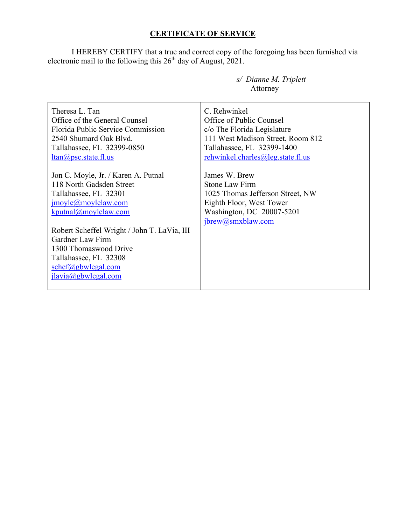# **CERTIFICATE OF SERVICE**

I HEREBY CERTIFY that a true and correct copy of the foregoing has been furnished via electronic mail to the following this  $26<sup>th</sup>$  day of August, 2021.

| s/ Dianne M. Triplett                                                                                                                                                                                                                                                                                                                     |                                                                                                                                                                                 |  |  |  |
|-------------------------------------------------------------------------------------------------------------------------------------------------------------------------------------------------------------------------------------------------------------------------------------------------------------------------------------------|---------------------------------------------------------------------------------------------------------------------------------------------------------------------------------|--|--|--|
|                                                                                                                                                                                                                                                                                                                                           | Attorney                                                                                                                                                                        |  |  |  |
| Theresa L. Tan<br>Office of the General Counsel<br>Florida Public Service Commission<br>2540 Shumard Oak Blvd.<br>Tallahassee, FL 32399-0850<br>$ltan(a)$ psc. state. fl.us                                                                                                                                                               | C. Rehwinkel<br>Office of Public Counsel<br>c/o The Florida Legislature<br>111 West Madison Street, Room 812<br>Tallahassee, FL 32399-1400<br>rehwinkel.charles@leg.state.fl.us |  |  |  |
| Jon C. Moyle, Jr. / Karen A. Putnal<br>118 North Gadsden Street<br>Tallahassee, FL 32301<br>$\text{imoyle}(a)$ moylelaw.com<br>kputnal@moylelaw.com<br>Robert Scheffel Wright / John T. LaVia, III<br>Gardner Law Firm<br>1300 Thomaswood Drive<br>Tallahassee, FL 32308<br>$schef(\omega)$ gbwlegal.com<br>$jlavia(\omega gbw$ legal.com | James W. Brew<br><b>Stone Law Firm</b><br>1025 Thomas Jefferson Street, NW<br>Eighth Floor, West Tower<br>Washington, DC 20007-5201<br>jbrew@smxblaw.com                        |  |  |  |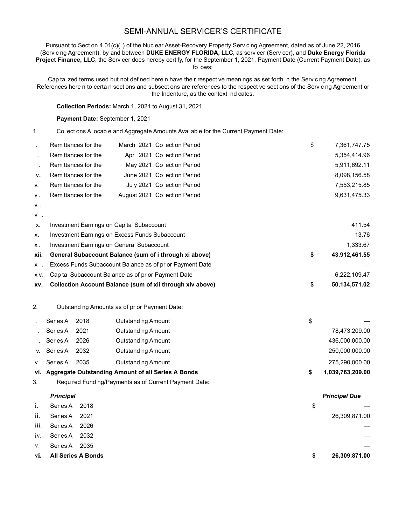## SEMI-ANNUAL SERVICER'S CERTIFICATE

Pursuant to Sect on 4.01(c)() of the Nuc ear Asset-Recovery Property Serv c ng Agreement, dated as of June 22, 2016 (Serv c ng Agreement), by and between **DUKE ENERGY FLORIDA, LLC**, as serv cer (Serv cer), and **Duke Energy Florida Project Finance, LLC**, the Serv cer does hereby cert fy, for the September 1, 2021, Payment Date (Current Payment Date), as fo ows:

Cap ta zed terms used but not def ned here n have the r respect ve mean ngs as set forth n the Serv c ng Agreement. References here n to certa n sect ons and subsect ons are references to the respect ve sect ons of the Serv c ng Agreement or the Indenture, as the context nd cates.

**Collection Periods:** March 1, 2021 to August 31, 2021

#### **Payment Date:** September 1, 2021

1. Co ect ons A ocab e and Aggregate Amounts Ava ab e for the Current Payment Date:

| Rem ttances for the                            |  |  | \$                                                                                                                                                                                                                                                                                                                                                                                                        | 7,361,747.75  |
|------------------------------------------------|--|--|-----------------------------------------------------------------------------------------------------------------------------------------------------------------------------------------------------------------------------------------------------------------------------------------------------------------------------------------------------------------------------------------------------------|---------------|
| Rem ttances for the                            |  |  |                                                                                                                                                                                                                                                                                                                                                                                                           | 5,354,414.96  |
| Rem ttances for the                            |  |  |                                                                                                                                                                                                                                                                                                                                                                                                           | 5,911,692.11  |
| Rem ttances for the                            |  |  |                                                                                                                                                                                                                                                                                                                                                                                                           | 8,098,156.58  |
| Rem ttances for the                            |  |  |                                                                                                                                                                                                                                                                                                                                                                                                           | 7,553,215.85  |
| Rem ttances for the                            |  |  |                                                                                                                                                                                                                                                                                                                                                                                                           | 9,631,475.33  |
|                                                |  |  |                                                                                                                                                                                                                                                                                                                                                                                                           |               |
|                                                |  |  |                                                                                                                                                                                                                                                                                                                                                                                                           |               |
|                                                |  |  |                                                                                                                                                                                                                                                                                                                                                                                                           | 411.54        |
| Investment Earn ngs on Excess Funds Subaccount |  |  |                                                                                                                                                                                                                                                                                                                                                                                                           | 13.76         |
| Investment Earn ngs on Genera Subaccount       |  |  |                                                                                                                                                                                                                                                                                                                                                                                                           | 1,333.67      |
|                                                |  |  | \$                                                                                                                                                                                                                                                                                                                                                                                                        | 43,912,461.55 |
|                                                |  |  |                                                                                                                                                                                                                                                                                                                                                                                                           |               |
|                                                |  |  |                                                                                                                                                                                                                                                                                                                                                                                                           | 6,222,109.47  |
|                                                |  |  | March 2021 Co ect on Per od<br>Apr 2021 Co ect on Per od<br>May 2021 Co ect on Per od<br>June 2021 Co ect on Per od<br>July 2021 Co ect on Per od<br>August 2021 Co ect on Per od<br>Investment Earn ngs on Cap ta Subaccount<br>General Subaccount Balance (sum of i through xi above)<br>Excess Funds Subaccount Ba ance as of pr or Payment Date<br>Cap ta Subaccount Ba ance as of pr or Payment Date |               |

- **xv. Collection Account Balance (sum of xii through xiv above) \$ 50,134,571.02**
- 2. Outstand ng Amounts as of pr or Payment Date:

|    | Ser es A | 2018 | Outstand ng Amount                                     | \$               |
|----|----------|------|--------------------------------------------------------|------------------|
|    | Ser es A | 2021 | Outstand ng Amount                                     | 78,473,209.00    |
|    | Ser es A | 2026 | Outstand ng Amount                                     | 436.000.000.00   |
| V. | Ser es A | 2032 | Outstand ng Amount                                     | 250,000,000.00   |
| V. | Ser es A | 2035 | Outstand ng Amount                                     | 275,290,000.00   |
|    |          |      | vi. Aggregate Outstanding Amount of all Series A Bonds | 1,039,763,209.00 |

3. Requ red Fund ng/Payments as of Current Payment Date:

#### *Principal Principal Due*

| $i$ . | Seres A 2018           | \$ |               |
|-------|------------------------|----|---------------|
|       | ii. Seres A 2021       |    | 26,309,871.00 |
|       | iii. Seres A 2026      |    |               |
|       | iv. Seres A 2032       |    |               |
|       | v. Seres A 2035        |    |               |
|       | vi. All Series A Bonds | S. | 26,309,871.00 |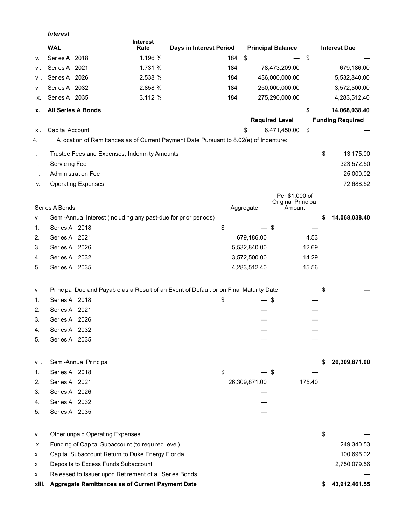|                | <b>Interest</b>                 |                                                              |                                                                                       |               |                          |        |                         |
|----------------|---------------------------------|--------------------------------------------------------------|---------------------------------------------------------------------------------------|---------------|--------------------------|--------|-------------------------|
|                | <b>WAL</b>                      | <b>Interest</b><br>Rate                                      | Days in Interest Period                                                               |               | <b>Principal Balance</b> |        | <b>Interest Due</b>     |
| v.             | Seres A 2018                    | 1.196 %                                                      | 184                                                                                   | \$            |                          | \$     |                         |
| ν.             | Seres A 2021                    | 1.731 %                                                      | 184                                                                                   |               | 78,473,209.00            |        | 679,186.00              |
| v.             | Seres A 2026                    | 2.538 %                                                      | 184                                                                                   |               | 436,000,000.00           |        | 5,532,840.00            |
| v.             | Seres A 2032                    | 2.858 %                                                      | 184                                                                                   |               | 250,000,000.00           |        | 3,572,500.00            |
| х.             | Ser es A 2035                   | 3.112 %                                                      | 184                                                                                   |               | 275,290,000.00           |        | 4,283,512.40            |
| х.             | <b>All Series A Bonds</b>       |                                                              |                                                                                       |               |                          | \$     | 14,068,038.40           |
|                |                                 |                                                              |                                                                                       |               | <b>Required Level</b>    |        | <b>Funding Required</b> |
| Х.             | Cap ta Account                  |                                                              |                                                                                       | \$            | 6,471,450.00             | \$     |                         |
| 4.             |                                 |                                                              | A ocat on of Rem ttances as of Current Payment Date Pursuant to 8.02(e) of Indenture: |               |                          |        |                         |
| $\blacksquare$ |                                 | Trustee Fees and Expenses; Indemn ty Amounts                 |                                                                                       |               |                          |        | \$<br>13,175.00         |
|                | Serv c ng Fee                   |                                                              |                                                                                       |               |                          |        | 323,572.50              |
|                | Adm n strat on Fee              |                                                              |                                                                                       |               |                          |        | 25,000.02               |
| v.             | Operat ng Expenses              |                                                              |                                                                                       |               |                          |        | 72,688.52               |
|                |                                 |                                                              |                                                                                       |               | Per \$1,000 of           |        |                         |
|                | Ser es A Bonds                  |                                                              |                                                                                       | Aggregate     | Orgna Prncpa<br>Amount   |        |                         |
| V.             |                                 | Sem-Annua Interest (nc ud ng any past-due for pr or per ods) |                                                                                       |               |                          |        | 14,068,038.40<br>\$     |
| 1.             | Seres A 2018                    |                                                              | \$                                                                                    |               | \$                       |        |                         |
| 2.             | Seres A 2021                    |                                                              |                                                                                       | 679,186.00    |                          | 4.53   |                         |
| 3.             | Seres A 2026                    |                                                              |                                                                                       | 5,532,840.00  |                          | 12.69  |                         |
| 4.             | Ser es A 2032                   |                                                              |                                                                                       | 3,572,500.00  |                          | 14.29  |                         |
| 5.             | Seres A 2035                    |                                                              |                                                                                       | 4,283,512.40  |                          | 15.56  |                         |
|                |                                 |                                                              |                                                                                       |               |                          |        |                         |
| ν.             |                                 |                                                              | Pr nc pa Due and Payab e as a Resu t of an Event of Defau t or on F na Matur ty Date  |               |                          |        | \$                      |
| 1.             | Seres A 2018                    |                                                              | \$                                                                                    | $-$ \$        |                          |        |                         |
| 2.             | Seres A 2021                    |                                                              |                                                                                       |               |                          |        |                         |
| 3.             | Seres A 2026                    |                                                              |                                                                                       |               |                          |        |                         |
| 4.             | Ser es A 2032                   |                                                              |                                                                                       |               |                          |        |                         |
| 5.             | Seres A 2035                    |                                                              |                                                                                       |               |                          |        |                         |
| ν.             | Sem-Annua Pr nc pa              |                                                              |                                                                                       |               |                          |        | 26,309,871.00           |
| 1.             | Seres A 2018                    |                                                              | \$                                                                                    |               | \$                       |        |                         |
| 2.             | Seres A 2021                    |                                                              |                                                                                       | 26,309,871.00 |                          | 175.40 |                         |
| 3.             | Seres A 2026                    |                                                              |                                                                                       |               |                          |        |                         |
| 4.             | Seres A 2032                    |                                                              |                                                                                       |               |                          |        |                         |
| 5.             | Seres A 2035                    |                                                              |                                                                                       |               |                          |        |                         |
|                |                                 |                                                              |                                                                                       |               |                          |        |                         |
| ν.             | Other unpa d Operat ng Expenses |                                                              |                                                                                       |               |                          |        | \$                      |
| х.             |                                 | Fund ng of Cap ta Subaccount (to requ red eve)               |                                                                                       |               |                          |        | 249,340.53              |
| х.             |                                 | Cap ta Subaccount Return to Duke Energy F or da              |                                                                                       |               |                          |        | 100,696.02              |
| Х.             |                                 | Depos ts to Excess Funds Subaccount                          |                                                                                       |               |                          |        | 2,750,079.56            |
| Х.             |                                 | Re eased to Issuer upon Ret rement of a Ser es Bonds         |                                                                                       |               |                          |        |                         |
| xiii.          |                                 | Aggregate Remittances as of Current Payment Date             |                                                                                       |               |                          |        | 43,912,461.55<br>\$     |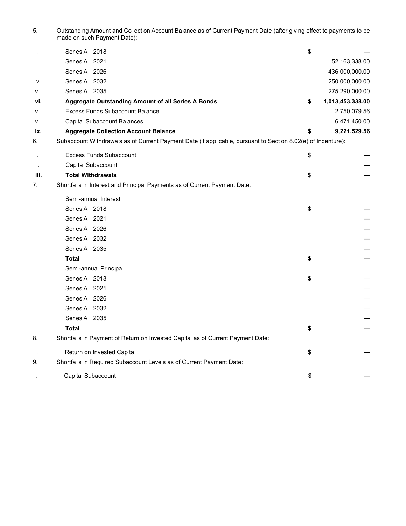Outstand ng Amount and Co ect on Account Ba ance as of Current Payment Date (after g v ng effect to payments to be made on such Payment Date): 5.

|      | Seres A 2018                                                                                               | \$                     |
|------|------------------------------------------------------------------------------------------------------------|------------------------|
|      | Ser es A 2021                                                                                              | 52,163,338.00          |
|      | Seres A 2026                                                                                               | 436,000,000.00         |
| v.   | Ser es A 2032                                                                                              | 250,000,000.00         |
| v.   | Ser es A 2035                                                                                              | 275,290,000.00         |
| vi.  | Aggregate Outstanding Amount of all Series A Bonds                                                         | \$<br>1,013,453,338.00 |
| ν.   | Excess Funds Subaccount Ba ance                                                                            | 2,750,079.56           |
| v.   | Cap ta Subaccount Ba ances                                                                                 | 6,471,450.00           |
| IX.  | <b>Aggregate Collection Account Balance</b>                                                                | \$<br>9,221,529.56     |
| 6.   | Subaccount W thdrawa s as of Current Payment Date (f app cab e, pursuant to Sect on 8.02(e) of Indenture): |                        |
|      | <b>Excess Funds Subaccount</b>                                                                             | \$                     |
|      | Cap ta Subaccount                                                                                          |                        |
| iii. | <b>Total Withdrawals</b>                                                                                   | \$                     |
| 7.   | Shortfa s n Interest and Pr nc pa Payments as of Current Payment Date:                                     |                        |
|      | Sem-annua Interest                                                                                         |                        |
|      | Seres A 2018                                                                                               | \$                     |
|      | Seres A 2021                                                                                               |                        |
|      | Seres A 2026                                                                                               |                        |
|      | Seres A 2032                                                                                               |                        |
|      | Ser es A 2035                                                                                              |                        |
|      | Total                                                                                                      | \$                     |
|      | Sem-annua Pr nc pa                                                                                         |                        |
|      | Seres A 2018                                                                                               | \$                     |
|      | Seres A 2021                                                                                               |                        |
|      | Seres A 2026                                                                                               |                        |
|      | Ser es A 2032                                                                                              |                        |
|      | Ser es A 2035                                                                                              |                        |
|      | <b>Total</b>                                                                                               | \$                     |
| 8.   | Shortfa s n Payment of Return on Invested Cap ta as of Current Payment Date:                               |                        |
|      | Return on Invested Cap ta                                                                                  | \$                     |
| 9.   | Shortfa s n Requ red Subaccount Leve s as of Current Payment Date:                                         |                        |
|      | Cap ta Subaccount                                                                                          | \$                     |